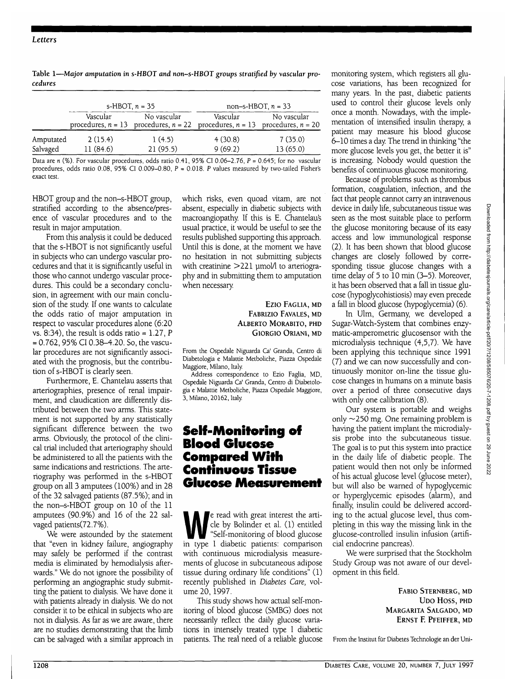#### *Letters*

| Table 1-Major amputation in s-HBOT and non-s-HBOT groups stratified by vascular pro- | mo  |
|--------------------------------------------------------------------------------------|-----|
| cedures                                                                              | COS |

|           | s-HBOT, $n = 35$ |                                                                                                    | non-s-HBOT, $n = 33$ |             |
|-----------|------------------|----------------------------------------------------------------------------------------------------|----------------------|-------------|
|           | Vascular         | No vascular<br>procedures, $n = 13$ procedures, $n = 22$ procedures, $n = 13$ procedures, $n = 20$ | Vascular             | No vascular |
| Amputated | 2(15.4)          | 1(4.5)                                                                                             | 4(30.8)              | 7(35.0)     |
| Salvaged  | 11(84.6)         | 21(95.5)                                                                                           | 9(69.2)              | 13(65.0)    |

Data are n (%). For vascular procedures, odds ratio 0.41, 95% CI 0.06-2.76,  $P = 0.645$ ; for no vascular procedures, odds ratio 0.08, 95% CI 0.009-0.80,  $P = 0.018$ . P values measured by two-tailed Fisher's exact test.

HBOT group and the non-s-HBOT group, stratified according to the absence/presence of vascular procedures and to the result in major amputation.

From this analysis it could be deduced that the s-HBOT is not significantly useful in subjects who can undergo vascular procedures and that it is significantly useful in those who cannot undergo vascular procedures. This could be a secondary conclusion, in agreement with our main conclusion of the study. If one wants to calculate the odds ratio of major amputation in respect to vascular procedures alone (6:20 vs. 8:34), the result is odds ratio =  $1.27$ , P  $= 0.762,95\% \text{ CI } 0.38 - 4.20.$  So, the vascular procedures are not significantly associated with the prognosis, but the contribution of s-HBOT is clearly seen.

Furthermore, E. Chantelau asserts that arteriographies, presence of renal impairment, and claudication are differently distributed between the two arms. This statement is not supported by any statistically significant difference between the two arms. Obviously, the protocol of the clinical trial included that arteriography should be administered to all the patients with the same indications and restrictions. The arteriography was performed in the s-HBOT group on all 3 amputees (100%) and in 28 of the 32 salvaged patients (87.5%); and in the non-s-HBOT group on 10 of the 11 amputees (90.9%) and 16 of the 22 salvaged patients(72.7%).

We were astounded by the statement that "even in kidney failure, angiography may safely be performed if the contrast media is eliminated by hemodialysis afterwards." We do not ignore the possibility of performing an angiographic study submitting the patient to dialysis. We have done it with patients already in dialysis. We do not consider it to be ethical in subjects who are not in dialysis. As far as we are aware, there are no studies demonstrating that the limb can be salvaged with a similar approach in

which risks, even quoad vitam, are not absent, especially in diabetic subjects with macroangiopathy If this is E. Chantelaus usual practice, it would be useful to see the results published supporting this approach. Until this is done, at the moment we have no hesitation in not submitting subjects with creatinine  $>$  221 µmol $\Lambda$  to arteriography and in submitting them to amputation when necessary

> Ezio FAGLIA, MD FABRIZIO FAVALES, MD ALBERTO MORABITO, PHD GIORGIO ORIANI, MD

From the Ospedale Niguarda Ca' Granda, Centro di Diabetologia e Malattie Metboliche, Piazza Ospedale Maggiore, Milano, Italy

Address correspondence to Ezio Faglia, MD, Ospedale Niguarda Ca' Granda, Centra di Diabetologia e Malattie Metboliche, Piazza Ospedale Maggiore, 3, Milano, 20162, Italy.

### **Self-Monitoring of Blood Glucose Compared With Continuous Tissue Glucose Measurement**

e read with great interest the arti-<br>cle by Bolinder et al. (1) entitled<br>"Self-monitoring of blood glucose"<br>"The Labetic patients" comparison cle by Bolinder et al. (1) entitled in type I diabetic patients: comparison with continuous microdialysis measurements of glucose in subcutaneous adipose tissue during ordinary life conditions" (1) recently published in *Diabetes Care,* volume 20, 1997.

This study shows how actual self-monitoring of blood glucose (SMBG) does not necessarily reflect the daily glucose variations in intensely treated type I diabetic patients. The real need of a reliable glucose monitoring system, which registers all glucose variations, has been recognized for many years. In the past, diabetic patients used to control their glucose levels only once a month. Nowadays, with the implementation of intensified insulin therapy, a patient may measure his blood glucose 6-10 times a day The trend in thinking "the more glucose levels you get, the better it is" is increasing. Nobody would question the benefits of continuous glucose monitoring.

Because of problems such as thrombus formation, coagulation, infection, and the fact that people cannot carry an intravenous device in daily life, subcutaneous tissue was seen as the most suitable place to perform the glucose monitoring because of its easy access and low immunological response (2). It has been shown that blood glucose changes are closely followed by corresponding tissue glucose changes with a time delay of 5 to 10 min (3-5). Moreover, it has been observed that a fall in tissue glucose (hypoglycohistiosis) may even precede a fall in blood glucose (hypoglycemia) (6).

In Ulm, Germany, we developed a Sugar-Watch-System that combines enzymatic-amperometric glucosensor with the microdialysis technique (4,5,7). We have been applying this technique since 1991 (7) and we can now successfully and continuously monitor on-line the tissue glucose changes in humans on a minute basis over a period of three consecutive days with only one calibration (8).

Our system is portable and weighs only  $\sim$ 250 mg. One remaining problem is having the patient implant the microdialysis probe into the subcutaneous tissue. The goal is to put this system into practice in the daily life of diabetic people. The patient would then not only be informed of his actual glucose level (glucose meter), but will also be warned of hypoglycemic or hyperglycemic episodes (alarm), and finally, insulin could be delivered according to the actual glucose level, thus completing in this way the missing link in the glucose-controlled insulin infusion (artificial endocrine pancreas).

We were surprised that the Stockholm Study Group was not aware of our development in this field.

> FABIO STERNBERG, MD **UDO HOSS, PHD** MARGARITA SALGADO, MD ERNST F. PFEIFFER, MD

From the Institut fur Diabetes Technologie an der Uni-